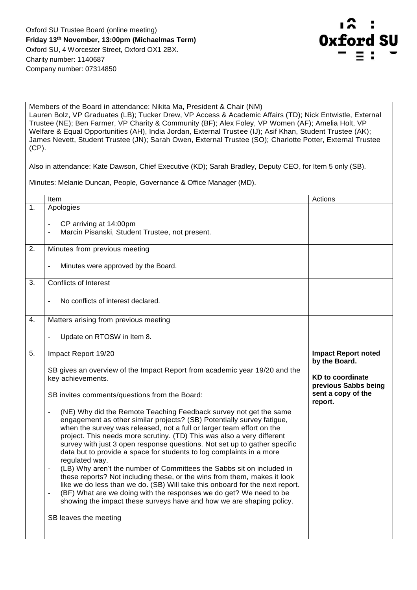

Members of the Board in attendance: Nikita Ma, President & Chair (NM) Lauren Bolz, VP Graduates (LB); Tucker Drew, VP Access & Academic Affairs (TD); Nick Entwistle, External Trustee (NE); Ben Farmer, VP Charity & Community (BF); Alex Foley, VP Women (AF); Amelia Holt, VP Welfare & Equal Opportunities (AH), India Jordan, External Trustee (IJ); Asif Khan, Student Trustee (AK); James Nevett, Student Trustee (JN); Sarah Owen, External Trustee (SO); Charlotte Potter, External Trustee (CP).

Also in attendance: Kate Dawson, Chief Executive (KD); Sarah Bradley, Deputy CEO, for Item 5 only (SB).

Minutes: Melanie Duncan, People, Governance & Office Manager (MD).

|         | Item                                                                                                                                                                                                                                                                                                                                                                                                                                                                                                                                                                                                                                                                                                                                                                                                                                                                                                                                                                                                                                                                                     | Actions                                                                                                                         |
|---------|------------------------------------------------------------------------------------------------------------------------------------------------------------------------------------------------------------------------------------------------------------------------------------------------------------------------------------------------------------------------------------------------------------------------------------------------------------------------------------------------------------------------------------------------------------------------------------------------------------------------------------------------------------------------------------------------------------------------------------------------------------------------------------------------------------------------------------------------------------------------------------------------------------------------------------------------------------------------------------------------------------------------------------------------------------------------------------------|---------------------------------------------------------------------------------------------------------------------------------|
| $1_{-}$ | Apologies<br>CP arriving at 14:00pm<br>Marcin Pisanski, Student Trustee, not present.                                                                                                                                                                                                                                                                                                                                                                                                                                                                                                                                                                                                                                                                                                                                                                                                                                                                                                                                                                                                    |                                                                                                                                 |
| 2.      | Minutes from previous meeting                                                                                                                                                                                                                                                                                                                                                                                                                                                                                                                                                                                                                                                                                                                                                                                                                                                                                                                                                                                                                                                            |                                                                                                                                 |
|         | Minutes were approved by the Board.                                                                                                                                                                                                                                                                                                                                                                                                                                                                                                                                                                                                                                                                                                                                                                                                                                                                                                                                                                                                                                                      |                                                                                                                                 |
| 3.      | <b>Conflicts of Interest</b>                                                                                                                                                                                                                                                                                                                                                                                                                                                                                                                                                                                                                                                                                                                                                                                                                                                                                                                                                                                                                                                             |                                                                                                                                 |
|         | No conflicts of interest declared.                                                                                                                                                                                                                                                                                                                                                                                                                                                                                                                                                                                                                                                                                                                                                                                                                                                                                                                                                                                                                                                       |                                                                                                                                 |
| 4.      | Matters arising from previous meeting                                                                                                                                                                                                                                                                                                                                                                                                                                                                                                                                                                                                                                                                                                                                                                                                                                                                                                                                                                                                                                                    |                                                                                                                                 |
|         | Update on RTOSW in Item 8.                                                                                                                                                                                                                                                                                                                                                                                                                                                                                                                                                                                                                                                                                                                                                                                                                                                                                                                                                                                                                                                               |                                                                                                                                 |
| 5.      | Impact Report 19/20<br>SB gives an overview of the Impact Report from academic year 19/20 and the<br>key achievements.<br>SB invites comments/questions from the Board:<br>(NE) Why did the Remote Teaching Feedback survey not get the same<br>engagement as other similar projects? (SB) Potentially survey fatigue,<br>when the survey was released, not a full or larger team effort on the<br>project. This needs more scrutiny. (TD) This was also a very different<br>survey with just 3 open response questions. Not set up to gather specific<br>data but to provide a space for students to log complaints in a more<br>regulated way.<br>(LB) Why aren't the number of Committees the Sabbs sit on included in<br>these reports? Not including these, or the wins from them, makes it look<br>like we do less than we do. (SB) Will take this onboard for the next report.<br>(BF) What are we doing with the responses we do get? We need to be<br>$\overline{\phantom{a}}$<br>showing the impact these surveys have and how we are shaping policy.<br>SB leaves the meeting | <b>Impact Report noted</b><br>by the Board.<br><b>KD to coordinate</b><br>previous Sabbs being<br>sent a copy of the<br>report. |
|         |                                                                                                                                                                                                                                                                                                                                                                                                                                                                                                                                                                                                                                                                                                                                                                                                                                                                                                                                                                                                                                                                                          |                                                                                                                                 |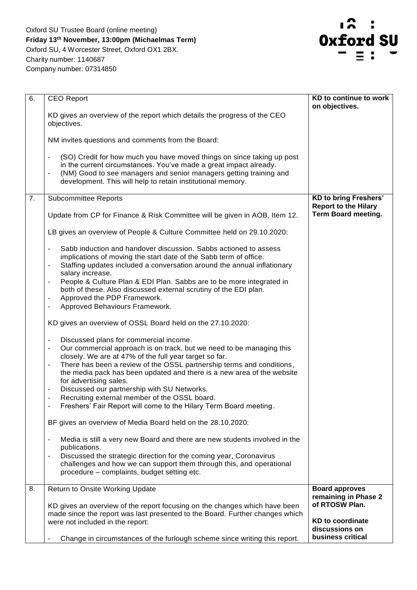Oxford SU Trustee Board (online meeting) **Friday 13th November, 13:00pm (Michaelmas Term)**  Oxford SU, 4 Worcester Street, Oxford OX1 2BX. Charity number: 1140687 Company number: 07314850



| 6. | <b>CEO Report</b>                                                                                                                                                                                                                                                                                | KD to continue to work<br>on objectives.                    |
|----|--------------------------------------------------------------------------------------------------------------------------------------------------------------------------------------------------------------------------------------------------------------------------------------------------|-------------------------------------------------------------|
|    | KD gives an overview of the report which details the progress of the CEO<br>objectives.                                                                                                                                                                                                          |                                                             |
|    | NM invites questions and comments from the Board:                                                                                                                                                                                                                                                |                                                             |
|    | (SO) Credit for how much you have moved things on since taking up post<br>in the current circumstances. You've made a great impact already.<br>(NM) Good to see managers and senior managers getting training and<br>development. This will help to retain institutional memory.                 |                                                             |
| 7. | <b>Subcommittee Reports</b>                                                                                                                                                                                                                                                                      | <b>KD to bring Freshers'</b><br><b>Report to the Hilary</b> |
|    | Update from CP for Finance & Risk Committee will be given in AOB, Item 12.                                                                                                                                                                                                                       | <b>Term Board meeting.</b>                                  |
|    | LB gives an overview of People & Culture Committee held on 29.10.2020:                                                                                                                                                                                                                           |                                                             |
|    | Sabb induction and handover discussion. Sabbs actioned to assess<br>$\overline{\phantom{a}}$<br>implications of moving the start date of the Sabb term of office.<br>Staffing updates included a conversation around the annual inflationary<br>$\qquad \qquad \blacksquare$<br>salary increase. |                                                             |
|    | People & Culture Plan & EDI Plan. Sabbs are to be more integrated in<br>$\overline{\phantom{a}}$<br>both of these. Also discussed external scrutiny of the EDI plan.<br>Approved the PDP Framework.<br>$\overline{\phantom{a}}$                                                                  |                                                             |
|    | Approved Behaviours Framework.                                                                                                                                                                                                                                                                   |                                                             |
|    | KD gives an overview of OSSL Board held on the 27.10.2020:                                                                                                                                                                                                                                       |                                                             |
|    | Discussed plans for commercial income.<br>$\overline{\phantom{a}}$<br>Our commercial approach is on track, but we need to be managing this<br>closely. We are at 47% of the full year target so far.<br>There has been a review of the OSSL partnership terms and conditions,                    |                                                             |
|    | the media pack has been updated and there is a new area of the website<br>for advertising sales.                                                                                                                                                                                                 |                                                             |
|    | Discussed our partnership with SU Networks.<br>$\blacksquare$<br>Recruiting external member of the OSSL board.<br>$\blacksquare$                                                                                                                                                                 |                                                             |
|    | Freshers' Fair Report will come to the Hilary Term Board meeting.                                                                                                                                                                                                                                |                                                             |
|    | BF gives an overview of Media Board held on the 28.10.2020:                                                                                                                                                                                                                                      |                                                             |
|    | Media is still a very new Board and there are new students involved in the<br>publications.                                                                                                                                                                                                      |                                                             |
|    | Discussed the strategic direction for the coming year, Coronavirus<br>challenges and how we can support them through this, and operational<br>procedure - complaints, budget setting etc.                                                                                                        |                                                             |
| 8. | Return to Onsite Working Update                                                                                                                                                                                                                                                                  | <b>Board approves</b><br>remaining in Phase 2               |
|    | KD gives an overview of the report focusing on the changes which have been<br>made since the report was last presented to the Board. Further changes which<br>were not included in the report:                                                                                                   | of RTOSW Plan.<br><b>KD</b> to coordinate<br>discussions on |
|    | Change in circumstances of the furlough scheme since writing this report.                                                                                                                                                                                                                        | business critical                                           |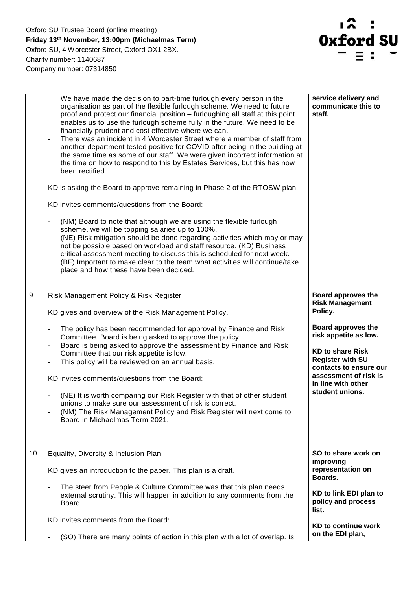Oxford SU Trustee Board (online meeting) **Friday 13th November, 13:00pm (Michaelmas Term)**  Oxford SU, 4 Worcester Street, Oxford OX1 2BX. Charity number: 1140687 Company number: 07314850



|     | We have made the decision to part-time furlough every person in the<br>organisation as part of the flexible furlough scheme. We need to future<br>proof and protect our financial position - furloughing all staff at this point<br>enables us to use the furlough scheme fully in the future. We need to be<br>financially prudent and cost effective where we can.<br>There was an incident in 4 Worcester Street where a member of staff from<br>$\overline{\phantom{a}}$<br>another department tested positive for COVID after being in the building at<br>the same time as some of our staff. We were given incorrect information at<br>the time on how to respond to this by Estates Services, but this has now<br>been rectified.<br>KD is asking the Board to approve remaining in Phase 2 of the RTOSW plan.<br>KD invites comments/questions from the Board:<br>(NM) Board to note that although we are using the flexible furlough<br>$\overline{\phantom{a}}$<br>scheme, we will be topping salaries up to 100%.<br>(NE) Risk mitigation should be done regarding activities which may or may<br>$\blacksquare$<br>not be possible based on workload and staff resource. (KD) Business<br>critical assessment meeting to discuss this is scheduled for next week.<br>(BF) Important to make clear to the team what activities will continue/take<br>place and how these have been decided. | service delivery and<br>communicate this to<br>staff. |
|-----|--------------------------------------------------------------------------------------------------------------------------------------------------------------------------------------------------------------------------------------------------------------------------------------------------------------------------------------------------------------------------------------------------------------------------------------------------------------------------------------------------------------------------------------------------------------------------------------------------------------------------------------------------------------------------------------------------------------------------------------------------------------------------------------------------------------------------------------------------------------------------------------------------------------------------------------------------------------------------------------------------------------------------------------------------------------------------------------------------------------------------------------------------------------------------------------------------------------------------------------------------------------------------------------------------------------------------------------------------------------------------------------------------------|-------------------------------------------------------|
| 9.  | Risk Management Policy & Risk Register                                                                                                                                                                                                                                                                                                                                                                                                                                                                                                                                                                                                                                                                                                                                                                                                                                                                                                                                                                                                                                                                                                                                                                                                                                                                                                                                                                 | Board approves the                                    |
|     | KD gives and overview of the Risk Management Policy.                                                                                                                                                                                                                                                                                                                                                                                                                                                                                                                                                                                                                                                                                                                                                                                                                                                                                                                                                                                                                                                                                                                                                                                                                                                                                                                                                   | <b>Risk Management</b><br>Policy.                     |
|     | The policy has been recommended for approval by Finance and Risk<br>$\overline{\phantom{a}}$                                                                                                                                                                                                                                                                                                                                                                                                                                                                                                                                                                                                                                                                                                                                                                                                                                                                                                                                                                                                                                                                                                                                                                                                                                                                                                           | Board approves the                                    |
|     | Committee. Board is being asked to approve the policy.<br>Board is being asked to approve the assessment by Finance and Risk                                                                                                                                                                                                                                                                                                                                                                                                                                                                                                                                                                                                                                                                                                                                                                                                                                                                                                                                                                                                                                                                                                                                                                                                                                                                           | risk appetite as low.                                 |
|     | Committee that our risk appetite is low.                                                                                                                                                                                                                                                                                                                                                                                                                                                                                                                                                                                                                                                                                                                                                                                                                                                                                                                                                                                                                                                                                                                                                                                                                                                                                                                                                               | <b>KD to share Risk</b>                               |
|     | This policy will be reviewed on an annual basis.<br>$\overline{\phantom{0}}$                                                                                                                                                                                                                                                                                                                                                                                                                                                                                                                                                                                                                                                                                                                                                                                                                                                                                                                                                                                                                                                                                                                                                                                                                                                                                                                           | <b>Register with SU</b><br>contacts to ensure our     |
|     | KD invites comments/questions from the Board:                                                                                                                                                                                                                                                                                                                                                                                                                                                                                                                                                                                                                                                                                                                                                                                                                                                                                                                                                                                                                                                                                                                                                                                                                                                                                                                                                          | assessment of risk is<br>in line with other           |
|     | (NE) It is worth comparing our Risk Register with that of other student<br>$\qquad \qquad \blacksquare$                                                                                                                                                                                                                                                                                                                                                                                                                                                                                                                                                                                                                                                                                                                                                                                                                                                                                                                                                                                                                                                                                                                                                                                                                                                                                                | student unions.                                       |
|     | unions to make sure our assessment of risk is correct.<br>(NM) The Risk Management Policy and Risk Register will next come to<br>$\overline{\phantom{a}}$                                                                                                                                                                                                                                                                                                                                                                                                                                                                                                                                                                                                                                                                                                                                                                                                                                                                                                                                                                                                                                                                                                                                                                                                                                              |                                                       |
|     | Board in Michaelmas Term 2021.                                                                                                                                                                                                                                                                                                                                                                                                                                                                                                                                                                                                                                                                                                                                                                                                                                                                                                                                                                                                                                                                                                                                                                                                                                                                                                                                                                         |                                                       |
|     |                                                                                                                                                                                                                                                                                                                                                                                                                                                                                                                                                                                                                                                                                                                                                                                                                                                                                                                                                                                                                                                                                                                                                                                                                                                                                                                                                                                                        |                                                       |
| 10. | Equality, Diversity & Inclusion Plan                                                                                                                                                                                                                                                                                                                                                                                                                                                                                                                                                                                                                                                                                                                                                                                                                                                                                                                                                                                                                                                                                                                                                                                                                                                                                                                                                                   | SO to share work on                                   |
|     |                                                                                                                                                                                                                                                                                                                                                                                                                                                                                                                                                                                                                                                                                                                                                                                                                                                                                                                                                                                                                                                                                                                                                                                                                                                                                                                                                                                                        | improving                                             |
|     | KD gives an introduction to the paper. This plan is a draft.                                                                                                                                                                                                                                                                                                                                                                                                                                                                                                                                                                                                                                                                                                                                                                                                                                                                                                                                                                                                                                                                                                                                                                                                                                                                                                                                           | representation on<br>Boards.                          |
|     | The steer from People & Culture Committee was that this plan needs<br>$\overline{\phantom{a}}$<br>external scrutiny. This will happen in addition to any comments from the                                                                                                                                                                                                                                                                                                                                                                                                                                                                                                                                                                                                                                                                                                                                                                                                                                                                                                                                                                                                                                                                                                                                                                                                                             | KD to link EDI plan to                                |
|     | Board.                                                                                                                                                                                                                                                                                                                                                                                                                                                                                                                                                                                                                                                                                                                                                                                                                                                                                                                                                                                                                                                                                                                                                                                                                                                                                                                                                                                                 | policy and process<br>list.                           |
|     | KD invites comments from the Board:                                                                                                                                                                                                                                                                                                                                                                                                                                                                                                                                                                                                                                                                                                                                                                                                                                                                                                                                                                                                                                                                                                                                                                                                                                                                                                                                                                    |                                                       |
|     |                                                                                                                                                                                                                                                                                                                                                                                                                                                                                                                                                                                                                                                                                                                                                                                                                                                                                                                                                                                                                                                                                                                                                                                                                                                                                                                                                                                                        | <b>KD to continue work</b><br>on the EDI plan,        |
|     | (SO) There are many points of action in this plan with a lot of overlap. Is                                                                                                                                                                                                                                                                                                                                                                                                                                                                                                                                                                                                                                                                                                                                                                                                                                                                                                                                                                                                                                                                                                                                                                                                                                                                                                                            |                                                       |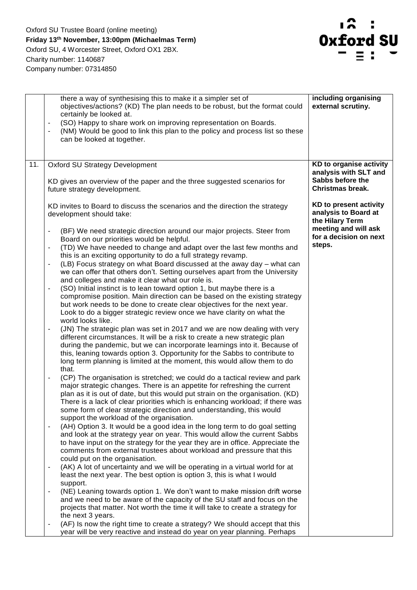

|     | there a way of synthesising this to make it a simpler set of<br>objectives/actions? (KD) The plan needs to be robust, but the format could<br>certainly be looked at.<br>(SO) Happy to share work on improving representation on Boards.<br>(NM) Would be good to link this plan to the policy and process list so these<br>can be looked at together.                                                                                                                                                                                                                                                                                                                                                                                                                                                                                                                                                                                                                                                                                                                                                                                                                                                                                                                                                                   | including organising<br>external scrutiny.                           |
|-----|--------------------------------------------------------------------------------------------------------------------------------------------------------------------------------------------------------------------------------------------------------------------------------------------------------------------------------------------------------------------------------------------------------------------------------------------------------------------------------------------------------------------------------------------------------------------------------------------------------------------------------------------------------------------------------------------------------------------------------------------------------------------------------------------------------------------------------------------------------------------------------------------------------------------------------------------------------------------------------------------------------------------------------------------------------------------------------------------------------------------------------------------------------------------------------------------------------------------------------------------------------------------------------------------------------------------------|----------------------------------------------------------------------|
| 11. | <b>Oxford SU Strategy Development</b>                                                                                                                                                                                                                                                                                                                                                                                                                                                                                                                                                                                                                                                                                                                                                                                                                                                                                                                                                                                                                                                                                                                                                                                                                                                                                    | KD to organise activity                                              |
|     | KD gives an overview of the paper and the three suggested scenarios for<br>future strategy development.                                                                                                                                                                                                                                                                                                                                                                                                                                                                                                                                                                                                                                                                                                                                                                                                                                                                                                                                                                                                                                                                                                                                                                                                                  | analysis with SLT and<br>Sabbs before the<br><b>Christmas break.</b> |
|     | KD invites to Board to discuss the scenarios and the direction the strategy<br>development should take:                                                                                                                                                                                                                                                                                                                                                                                                                                                                                                                                                                                                                                                                                                                                                                                                                                                                                                                                                                                                                                                                                                                                                                                                                  | KD to present activity<br>analysis to Board at<br>the Hilary Term    |
|     | (BF) We need strategic direction around our major projects. Steer from<br>$\blacksquare$<br>Board on our priorities would be helpful.<br>(TD) We have needed to change and adapt over the last few months and<br>$\overline{\phantom{a}}$<br>this is an exciting opportunity to do a full strategy revamp.<br>(LB) Focus strategy on what Board discussed at the away day - what can<br>$\overline{\phantom{a}}$<br>we can offer that others don't. Setting ourselves apart from the University<br>and colleges and make it clear what our role is.<br>(SO) Initial instinct is to lean toward option 1, but maybe there is a<br>$\overline{\phantom{a}}$<br>compromise position. Main direction can be based on the existing strategy<br>but work needs to be done to create clear objectives for the next year.<br>Look to do a bigger strategic review once we have clarity on what the<br>world looks like.<br>(JN) The strategic plan was set in 2017 and we are now dealing with very<br>different circumstances. It will be a risk to create a new strategic plan<br>during the pandemic, but we can incorporate learnings into it. Because of<br>this, leaning towards option 3. Opportunity for the Sabbs to contribute to<br>long term planning is limited at the moment, this would allow them to do<br>that. | meeting and will ask<br>for a decision on next<br>steps.             |
|     | (CP) The organisation is stretched; we could do a tactical review and park<br>$\overline{\phantom{a}}$<br>major strategic changes. There is an appetite for refreshing the current<br>plan as it is out of date, but this would put strain on the organisation. (KD)<br>There is a lack of clear priorities which is enhancing workload; if there was<br>some form of clear strategic direction and understanding, this would<br>support the workload of the organisation.                                                                                                                                                                                                                                                                                                                                                                                                                                                                                                                                                                                                                                                                                                                                                                                                                                               |                                                                      |
|     | (AH) Option 3. It would be a good idea in the long term to do goal setting<br>٠<br>and look at the strategy year on year. This would allow the current Sabbs<br>to have input on the strategy for the year they are in office. Appreciate the<br>comments from external trustees about workload and pressure that this<br>could put on the organisation.                                                                                                                                                                                                                                                                                                                                                                                                                                                                                                                                                                                                                                                                                                                                                                                                                                                                                                                                                                 |                                                                      |
|     | (AK) A lot of uncertainty and we will be operating in a virtual world for at<br>least the next year. The best option is option 3, this is what I would<br>support.                                                                                                                                                                                                                                                                                                                                                                                                                                                                                                                                                                                                                                                                                                                                                                                                                                                                                                                                                                                                                                                                                                                                                       |                                                                      |
|     | (NE) Leaning towards option 1. We don't want to make mission drift worse<br>$\overline{\phantom{a}}$<br>and we need to be aware of the capacity of the SU staff and focus on the<br>projects that matter. Not worth the time it will take to create a strategy for<br>the next 3 years.                                                                                                                                                                                                                                                                                                                                                                                                                                                                                                                                                                                                                                                                                                                                                                                                                                                                                                                                                                                                                                  |                                                                      |
|     | (AF) Is now the right time to create a strategy? We should accept that this<br>$\overline{\phantom{a}}$<br>year will be very reactive and instead do year on year planning. Perhaps                                                                                                                                                                                                                                                                                                                                                                                                                                                                                                                                                                                                                                                                                                                                                                                                                                                                                                                                                                                                                                                                                                                                      |                                                                      |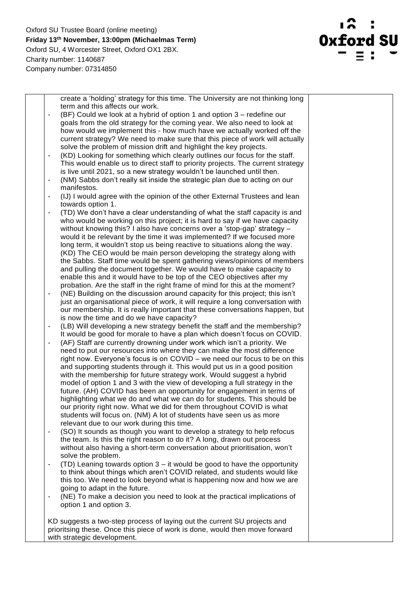Oxford SU Trustee Board (online meeting) **Friday 13th November, 13:00pm (Michaelmas Term)**  Oxford SU, 4 Worcester Street, Oxford OX1 2BX. Charity number: 1140687 Company number: 07314850



|                          | create a 'holding' strategy for this time. The University are not thinking long                                                                  |  |
|--------------------------|--------------------------------------------------------------------------------------------------------------------------------------------------|--|
|                          | term and this affects our work.                                                                                                                  |  |
| $\overline{a}$           | (BF) Could we look at a hybrid of option 1 and option 3 – redefine our                                                                           |  |
|                          | goals from the old strategy for the coming year. We also need to look at                                                                         |  |
|                          | how would we implement this - how much have we actually worked off the                                                                           |  |
|                          | current strategy? We need to make sure that this piece of work will actually                                                                     |  |
|                          | solve the problem of mission drift and highlight the key projects.                                                                               |  |
| $\overline{\phantom{a}}$ | (KD) Looking for something which clearly outlines our focus for the staff.                                                                       |  |
|                          | This would enable us to direct staff to priority projects. The current strategy                                                                  |  |
|                          | is live until 2021, so a new strategy wouldn't be launched until then.                                                                           |  |
| $\overline{\phantom{a}}$ | (NM) Sabbs don't really sit inside the strategic plan due to acting on our                                                                       |  |
|                          | manifestos.                                                                                                                                      |  |
| -                        | (IJ) I would agree with the opinion of the other External Trustees and lean                                                                      |  |
|                          | towards option 1.                                                                                                                                |  |
| $\overline{a}$           | (TD) We don't have a clear understanding of what the staff capacity is and                                                                       |  |
|                          | who would be working on this project; it is hard to say if we have capacity                                                                      |  |
|                          | without knowing this? I also have concerns over a 'stop-gap' strategy -                                                                          |  |
|                          |                                                                                                                                                  |  |
|                          | would it be relevant by the time it was implemented? If we focused more                                                                          |  |
|                          | long term, it wouldn't stop us being reactive to situations along the way.                                                                       |  |
|                          | (KD) The CEO would be main person developing the strategy along with<br>the Sabbs. Staff time would be spent gathering views/opinions of members |  |
|                          |                                                                                                                                                  |  |
|                          | and pulling the document together. We would have to make capacity to                                                                             |  |
|                          | enable this and it would have to be top of the CEO objectives after my                                                                           |  |
|                          | probation. Are the staff in the right frame of mind for this at the moment?                                                                      |  |
| $\overline{a}$           | (NE) Building on the discussion around capacity for this project; this isn't                                                                     |  |
|                          | just an organisational piece of work, it will require a long conversation with                                                                   |  |
|                          | our membership. It is really important that these conversations happen, but                                                                      |  |
|                          | is now the time and do we have capacity?                                                                                                         |  |
| $\overline{a}$           | (LB) Will developing a new strategy benefit the staff and the membership?                                                                        |  |
|                          | It would be good for morale to have a plan which doesn't focus on COVID.                                                                         |  |
|                          | (AF) Staff are currently drowning under work which isn't a priority. We                                                                          |  |
|                          | need to put our resources into where they can make the most difference                                                                           |  |
|                          | right now. Everyone's focus is on COVID - we need our focus to be on this                                                                        |  |
|                          | and supporting students through it. This would put us in a good position                                                                         |  |
|                          | with the membership for future strategy work. Would suggest a hybrid                                                                             |  |
|                          | model of option 1 and 3 with the view of developing a full strategy in the                                                                       |  |
|                          | future. (AH) COVID has been an opportunity for engagement in terms of                                                                            |  |
|                          | highlighting what we do and what we can do for students. This should be                                                                          |  |
|                          | our priority right now. What we did for them throughout COVID is what                                                                            |  |
|                          | students will focus on. (NM) A lot of students have seen us as more                                                                              |  |
|                          | relevant due to our work during this time.                                                                                                       |  |
| $\overline{a}$           | (SO) It sounds as though you want to develop a strategy to help refocus                                                                          |  |
|                          | the team. Is this the right reason to do it? A long, drawn out process                                                                           |  |
|                          | without also having a short-term conversation about prioritisation, won't                                                                        |  |
|                          | solve the problem.                                                                                                                               |  |
| $\overline{\phantom{0}}$ | (TD) Leaning towards option 3 – it would be good to have the opportunity                                                                         |  |
|                          | to think about things which aren't COVID related, and students would like                                                                        |  |
|                          | this too. We need to look beyond what is happening now and how we are                                                                            |  |
|                          | going to adapt in the future.                                                                                                                    |  |
| $\overline{a}$           | (NE) To make a decision you need to look at the practical implications of                                                                        |  |
|                          | option 1 and option 3.                                                                                                                           |  |
|                          |                                                                                                                                                  |  |
|                          | KD suggests a two-step process of laying out the current SU projects and                                                                         |  |
|                          | prioritsing these. Once this piece of work is done, would then move forward                                                                      |  |
|                          | with strategic development.                                                                                                                      |  |
|                          |                                                                                                                                                  |  |